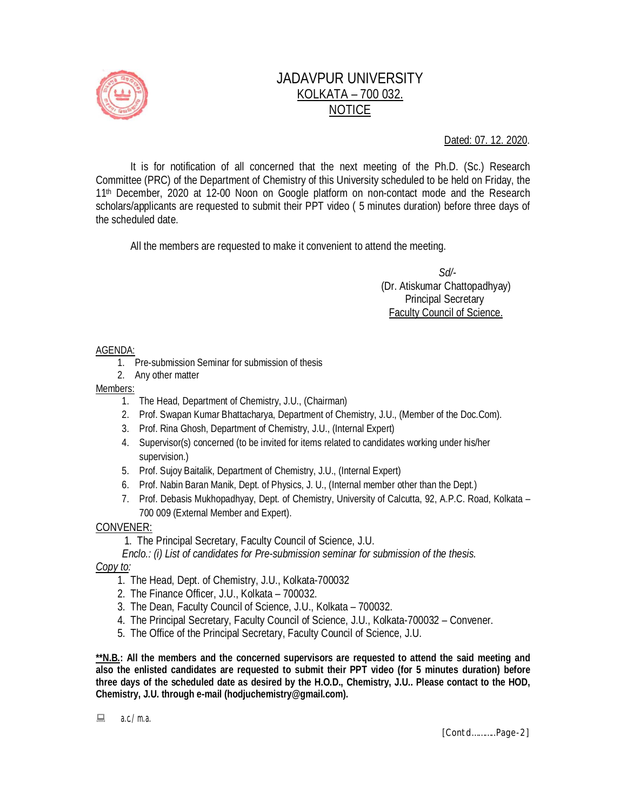

# JADAVPUR UNIVERSITY KOLKATA – 700 032. NOTICE

Dated: 07. 12. 2020.

It is for notification of all concerned that the next meeting of the Ph.D. (Sc.) Research Committee (PRC) of the Department of Chemistry of this University scheduled to be held on Friday, the 11th December, 2020 at 12-00 Noon on Google platform on non-contact mode and the Research scholars/applicants are requested to submit their PPT video ( 5 minutes duration) before three days of the scheduled date.

All the members are requested to make it convenient to attend the meeting.

 *Sd/-*  (Dr. Atiskumar Chattopadhyay) Principal Secretary Faculty Council of Science.

### AGENDA:

- 1. Pre-submission Seminar for submission of thesis
- 2. Any other matter

### Members:

- 1. The Head, Department of Chemistry, J.U., (Chairman)
- 2. Prof. Swapan Kumar Bhattacharya, Department of Chemistry, J.U., (Member of the Doc.Com).
- 3. Prof. Rina Ghosh, Department of Chemistry, J.U., (Internal Expert)
- 4. Supervisor(s) concerned (to be invited for items related to candidates working under his/her supervision.)
- 5. Prof. Sujoy Baitalik, Department of Chemistry, J.U., (Internal Expert)
- 6. Prof. Nabin Baran Manik, Dept. of Physics, J. U., (Internal member other than the Dept.)
- 7. Prof. Debasis Mukhopadhyay, Dept. of Chemistry, University of Calcutta, 92, A.P.C. Road, Kolkata 700 009 (External Member and Expert).

### CONVENER:

1. The Principal Secretary, Faculty Council of Science, J.U.

 *Enclo.: (i) List of candidates for Pre-submission seminar for submission of the thesis.*

### *Copy to:*

- 1. The Head, Dept. of Chemistry, J.U., Kolkata-700032
- 2. The Finance Officer, J.U., Kolkata 700032.
- 3. The Dean, Faculty Council of Science, J.U., Kolkata 700032.
- 4. The Principal Secretary, Faculty Council of Science, J.U., Kolkata-700032 Convener.
- 5. The Office of the Principal Secretary, Faculty Council of Science, J.U.

**\*\*N.B.: All the members and the concerned supervisors are requested to attend the said meeting and also the enlisted candidates are requested to submit their PPT video (for 5 minutes duration) before three days of the scheduled date as desired by the H.O.D., Chemistry, J.U.. Please contact to the HOD, Chemistry, J.U. through e-mail (hodjuchemistry@gmail.com).**

 $\Box$  a.c./m.a.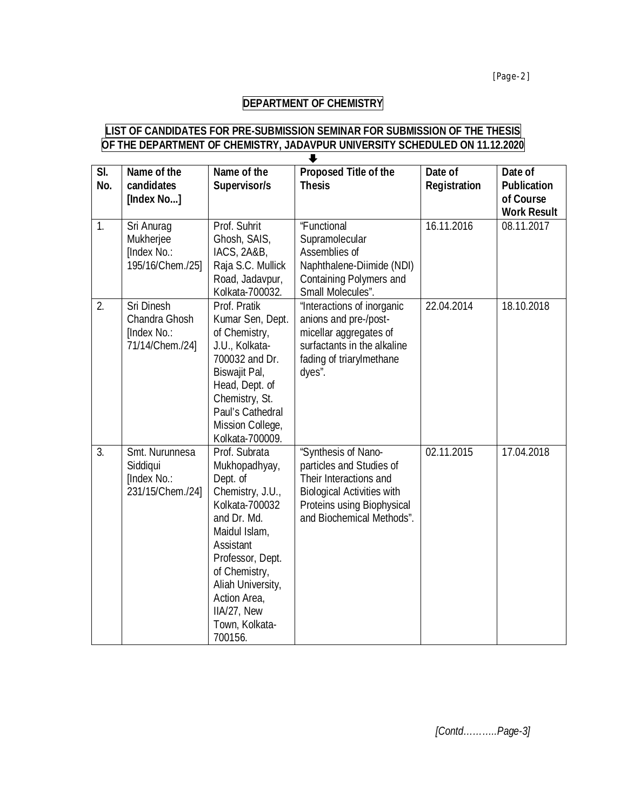## **DEPARTMENT OF CHEMISTRY**

#### **LIST OF CANDIDATES FOR PRE-SUBMISSION SEMINAR FOR SUBMISSION OF THE THESIS OF THE DEPARTMENT OF CHEMISTRY, JADAVPUR UNIVERSITY SCHEDULED ON 11.12.2020**  $\overline{\phantom{a}}$

| SI.<br>No. | Name of the<br>candidates<br>[Index No]                       | Name of the<br>Supervisor/s                                                                                                                                                                                                                         | Proposed Title of the<br><b>Thesis</b>                                                                                                                                    | Date of<br><b>Registration</b> | Date of<br><b>Publication</b><br>of Course<br><b>Work Result</b> |
|------------|---------------------------------------------------------------|-----------------------------------------------------------------------------------------------------------------------------------------------------------------------------------------------------------------------------------------------------|---------------------------------------------------------------------------------------------------------------------------------------------------------------------------|--------------------------------|------------------------------------------------------------------|
| 1.         | Sri Anurag<br>Mukherjee<br>[Index No.:<br>195/16/Chem./25]    | Prof. Suhrit<br>Ghosh, SAIS,<br>IACS, 2A&B,<br>Raja S.C. Mullick<br>Road, Jadavpur,<br>Kolkata-700032.                                                                                                                                              | "Functional<br>Supramolecular<br>Assemblies of<br>Naphthalene-Diimide (NDI)<br><b>Containing Polymers and</b><br>Small Molecules".                                        | 16.11.2016                     | 08.11.2017                                                       |
| 2.         | Sri Dinesh<br>Chandra Ghosh<br>[Index No.:<br>71/14/Chem./24] | Prof. Pratik<br>Kumar Sen, Dept.<br>of Chemistry,<br>J.U., Kolkata-<br>700032 and Dr.<br>Biswajit Pal,<br>Head, Dept. of<br>Chemistry, St.<br>Paul's Cathedral<br>Mission College,<br>Kolkata-700009.                                               | "Interactions of inorganic<br>anions and pre-/post-<br>micellar aggregates of<br>surfactants in the alkaline<br>fading of triarylmethane<br>dyes".                        | 22.04.2014                     | 18.10.2018                                                       |
| 3.         | Smt. Nurunnesa<br>Siddiqui<br>[Index No.:<br>231/15/Chem./24] | Prof. Subrata<br>Mukhopadhyay,<br>Dept. of<br>Chemistry, J.U.,<br>Kolkata-700032<br>and Dr. Md.<br>Maidul Islam,<br>Assistant<br>Professor, Dept.<br>of Chemistry,<br>Aliah University,<br>Action Area,<br>IIA/27, New<br>Town, Kolkata-<br>700156. | "Synthesis of Nano-<br>particles and Studies of<br>Their Interactions and<br><b>Biological Activities with</b><br>Proteins using Biophysical<br>and Biochemical Methods". | 02.11.2015                     | 17.04.2018                                                       |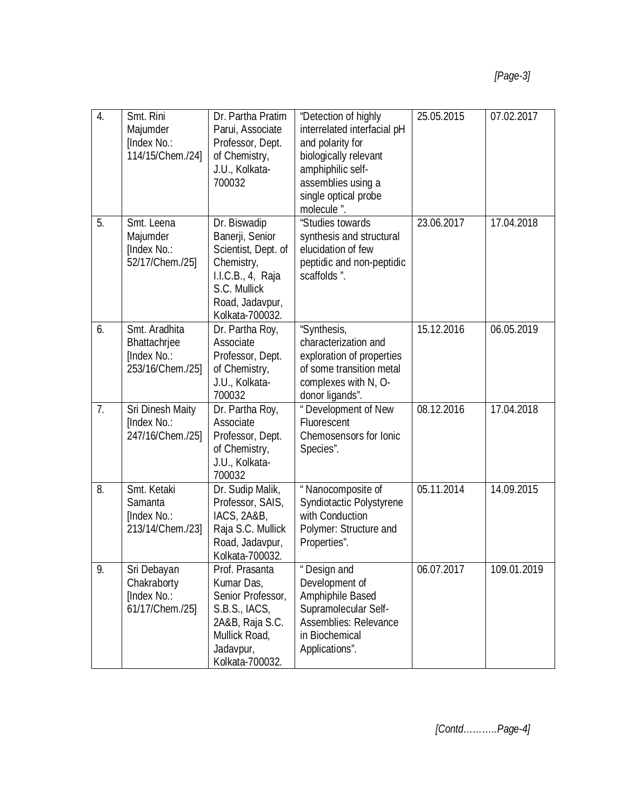| 4. | Smt. Rini<br>Majumder<br>[Index No.:<br>114/15/Chem./24]         | Dr. Partha Pratim<br>Parui, Associate<br>Professor, Dept.<br>of Chemistry,<br>J.U., Kolkata-<br>700032                                          | "Detection of highly<br>interrelated interfacial pH<br>and polarity for<br>biologically relevant<br>amphiphilic self-<br>assemblies using a<br>single optical probe<br>molecule ". | 25.05.2015 | 07.02.2017  |
|----|------------------------------------------------------------------|-------------------------------------------------------------------------------------------------------------------------------------------------|------------------------------------------------------------------------------------------------------------------------------------------------------------------------------------|------------|-------------|
| 5. | Smt. Leena<br>Majumder<br>[Index No.:<br>52/17/Chem./25]         | Dr. Biswadip<br>Banerji, Senior<br>Scientist, Dept. of<br>Chemistry,<br>I.I.C.B., 4, Raja<br>S.C. Mullick<br>Road, Jadavpur,<br>Kolkata-700032. | "Studies towards<br>synthesis and structural<br>elucidation of few<br>peptidic and non-peptidic<br>scaffolds".                                                                     | 23.06.2017 | 17.04.2018  |
| 6. | Smt. Aradhita<br>Bhattachrjee<br>[Index No.:<br>253/16/Chem./25] | Dr. Partha Roy,<br>Associate<br>Professor, Dept.<br>of Chemistry,<br>J.U., Kolkata-<br>700032                                                   | "Synthesis,<br>characterization and<br>exploration of properties<br>of some transition metal<br>complexes with N, O-<br>donor ligands".                                            | 15.12.2016 | 06.05.2019  |
| 7. | Sri Dinesh Maity<br>[Index No.:<br>247/16/Chem./25]              | Dr. Partha Roy,<br>Associate<br>Professor, Dept.<br>of Chemistry,<br>J.U., Kolkata-<br>700032                                                   | " Development of New<br>Fluorescent<br>Chemosensors for Ionic<br>Species".                                                                                                         | 08.12.2016 | 17.04.2018  |
| 8. | Smt. Ketaki<br>Samanta<br>[Index No.:<br>213/14/Chem./23]        | Dr. Sudip Malik,<br>Professor, SAIS,<br>IACS, 2A&B,<br>Raja S.C. Mullick<br>Road, Jadavpur,<br>Kolkata-700032.                                  | " Nanocomposite of<br>Syndiotactic Polystyrene<br>with Conduction<br>Polymer: Structure and<br>Properties".                                                                        | 05.11.2014 | 14.09.2015  |
| 9. | Sri Debayan<br>Chakraborty<br>[Index No.:<br>61/17/Chem./25]     | Prof. Prasanta<br>Kumar Das,<br>Senior Professor,<br>S.B.S., IACS,<br>2A&B, Raja S.C.<br>Mullick Road,<br>Jadavpur,<br>Kolkata-700032.          | " Design and<br>Development of<br>Amphiphile Based<br>Supramolecular Self-<br>Assemblies: Relevance<br>in Biochemical<br>Applications".                                            | 06.07.2017 | 109.01.2019 |